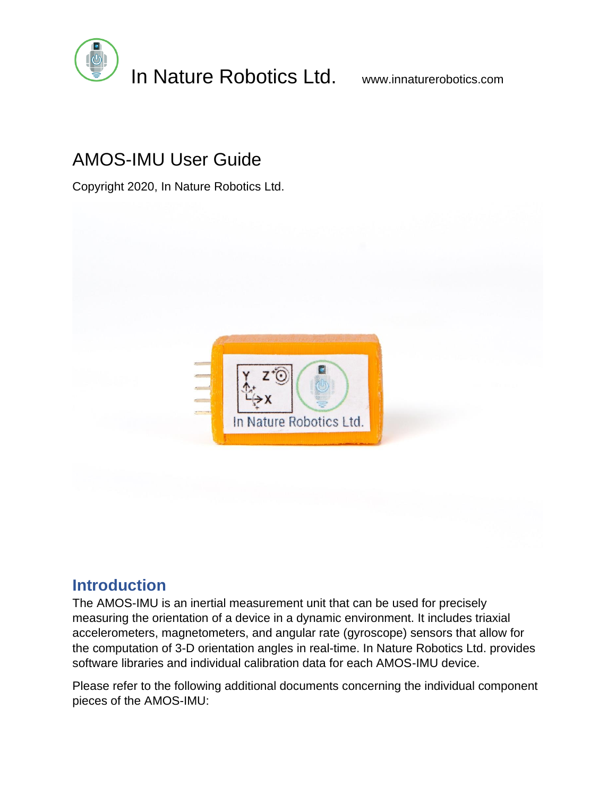

# AMOS-IMU User Guide

Copyright 2020, In Nature Robotics Ltd.



## **Introduction**

The AMOS-IMU is an inertial measurement unit that can be used for precisely measuring the orientation of a device in a dynamic environment. It includes triaxial accelerometers, magnetometers, and angular rate (gyroscope) sensors that allow for the computation of 3-D orientation angles in real-time. In Nature Robotics Ltd. provides software libraries and individual calibration data for each AMOS-IMU device.

Please refer to the following additional documents concerning the individual component pieces of the AMOS-IMU: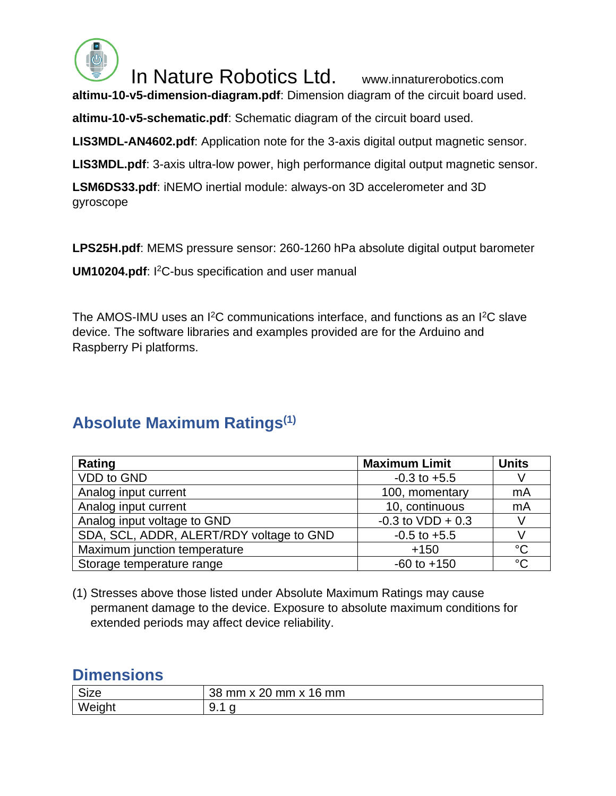

In Nature Robotics Ltd. www.innaturerobotics.com

**altimu-10-v5-dimension-diagram.pdf**: Dimension diagram of the circuit board used.

**altimu-10-v5-schematic.pdf**: Schematic diagram of the circuit board used.

**LIS3MDL-AN4602.pdf**: Application note for the 3-axis digital output magnetic sensor.

**LIS3MDL.pdf**: 3-axis ultra-low power, high performance digital output magnetic sensor.

**LSM6DS33.pdf**: iNEMO inertial module: always-on 3D accelerometer and 3D gyroscope

**LPS25H.pdf**: MEMS pressure sensor: 260-1260 hPa absolute digital output barometer

**UM10204.pdf**: I<sup>2</sup>C-bus specification and user manual

The AMOS-IMU uses an I<sup>2</sup>C communications interface, and functions as an I<sup>2</sup>C slave device. The software libraries and examples provided are for the Arduino and Raspberry Pi platforms.

## **Absolute Maximum Ratings(1)**

| Rating                                   | <b>Maximum Limit</b> | <b>Units</b>    |
|------------------------------------------|----------------------|-----------------|
| VDD to GND                               | $-0.3$ to $+5.5$     |                 |
| Analog input current                     | 100, momentary       | mA              |
| Analog input current                     | 10, continuous       | mA              |
| Analog input voltage to GND              | $-0.3$ to VDD + 0.3  |                 |
| SDA, SCL, ADDR, ALERT/RDY voltage to GND | $-0.5$ to $+5.5$     |                 |
| Maximum junction temperature             | $+150$               | $^{\circ}C$     |
| Storage temperature range                | $-60$ to $+150$      | $\rm ^{\circ}C$ |

(1) Stresses above those listed under Absolute Maximum Ratings may cause permanent damage to the device. Exposure to absolute maximum conditions for extended periods may affect device reliability.

### **Dimensions**

| Size | 3R<br>20<br>mm<br>mmv<br>. mm<br>١Ö<br>ιJί |
|------|--------------------------------------------|
| We   | u<br>J.<br>                                |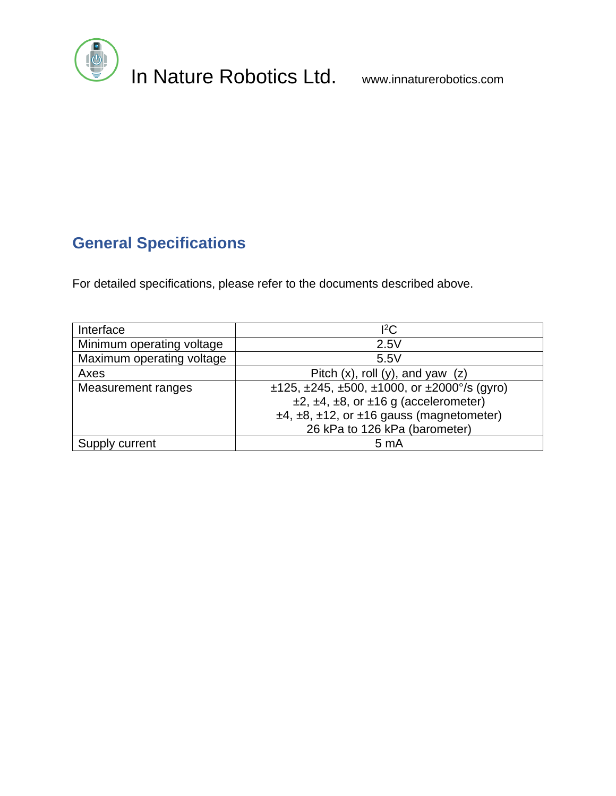

# **General Specifications**

For detailed specifications, please refer to the documents described above.

| Interface                 | ${}^{12}C$                                                           |
|---------------------------|----------------------------------------------------------------------|
| Minimum operating voltage | 2.5V                                                                 |
| Maximum operating voltage | 5.5V                                                                 |
| Axes                      | Pitch $(x)$ , roll $(y)$ , and yaw $(z)$                             |
| Measurement ranges        | $\pm$ 125, $\pm$ 245, $\pm$ 500, $\pm$ 1000, or $\pm$ 2000°/s (gyro) |
|                           | $\pm 2$ , $\pm 4$ , $\pm 8$ , or $\pm 16$ g (accelerometer)          |
|                           | $±4, ±8, ±12,$ or $±16$ gauss (magnetometer)                         |
|                           | 26 kPa to 126 kPa (barometer)                                        |
| current                   | 5 <sub>mA</sub>                                                      |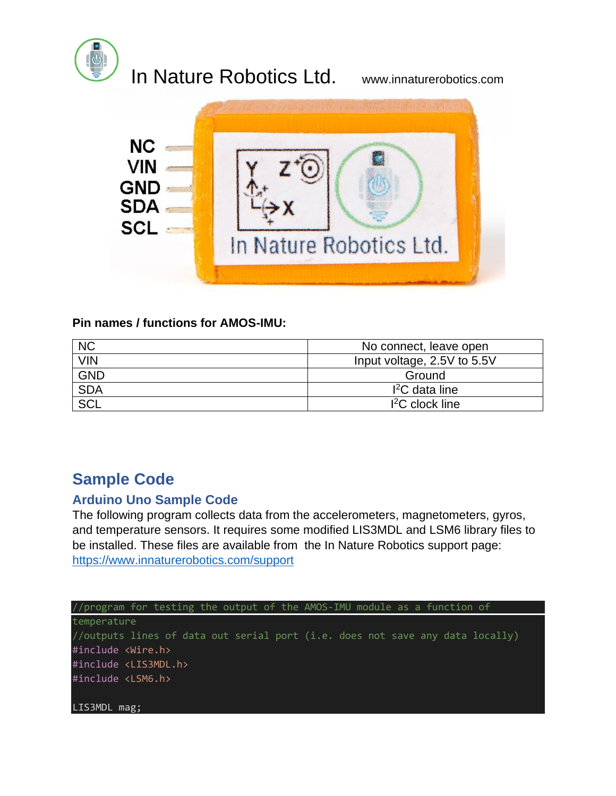

# In Nature Robotics Ltd. www.innaturerobotics.com



### **Pin names / functions for AMOS-IMU:**

| <b>NC</b>  | No connect, leave open      |
|------------|-----------------------------|
| <b>VIN</b> | Input voltage, 2.5V to 5.5V |
| <b>GND</b> | Ground                      |
| <b>SDA</b> | $I2C$ data line             |
| <b>SCL</b> | $12C$ clock line            |

## **Sample Code**

### **Arduino Uno Sample Code**

The following program collects data from the accelerometers, magnetometers, gyros, and temperature sensors. It requires some modified LIS3MDL and LSM6 library files to be installed. These files are available from the In Nature Robotics support page: <https://www.innaturerobotics.com/support>

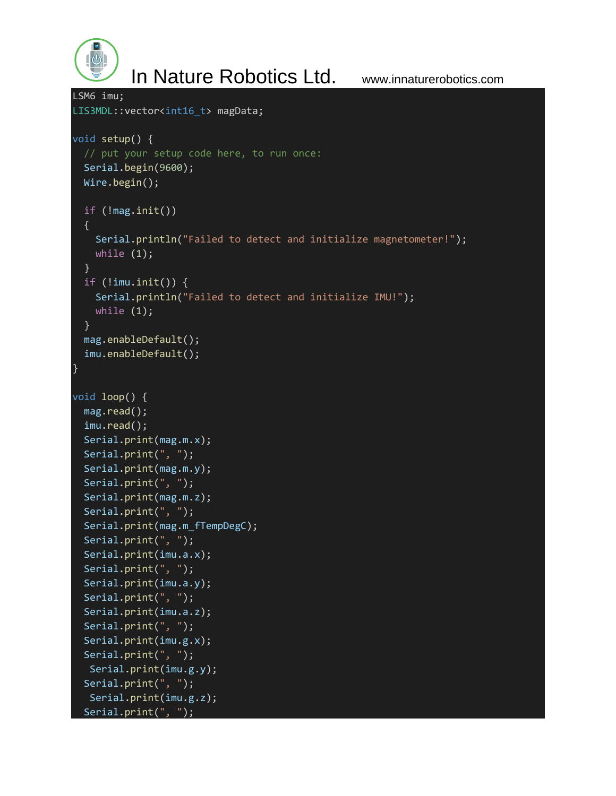$\mathcal{O}_0$ 

In Nature Robotics Ltd. www.innaturerobotics.com

```
LSM6 imu;
LIS3MDL::vector<int16 t> magData;
void setup() {
   // put your setup code here, to run once:
   Serial.begin(9600);
   Wire.begin();
   if (!mag.init())
   {
     Serial.println("Failed to detect and initialize magnetometer!");
     while (1);
   }
  if (limu.init()) {
     Serial.println("Failed to detect and initialize IMU!");
     while (1);
   }
   mag.enableDefault();
   imu.enableDefault();
}
void loop() {
   mag.read();
   imu.read();
   Serial.print(mag.m.x);
   Serial.print(", ");
   Serial.print(mag.m.y);
   Serial.print(", ");
   Serial.print(mag.m.z);
   Serial.print(", ");
  Serial.print(mag.m fTempDegC);
   Serial.print(", ");
   Serial.print(imu.a.x);
   Serial.print(", ");
   Serial.print(imu.a.y);
   Serial.print(", ");
   Serial.print(imu.a.z);
   Serial.print(", ");
   Serial.print(imu.g.x);
   Serial.print(", ");
    Serial.print(imu.g.y);
   Serial.print(", ");
    Serial.print(imu.g.z);
   Serial.print(", ");
```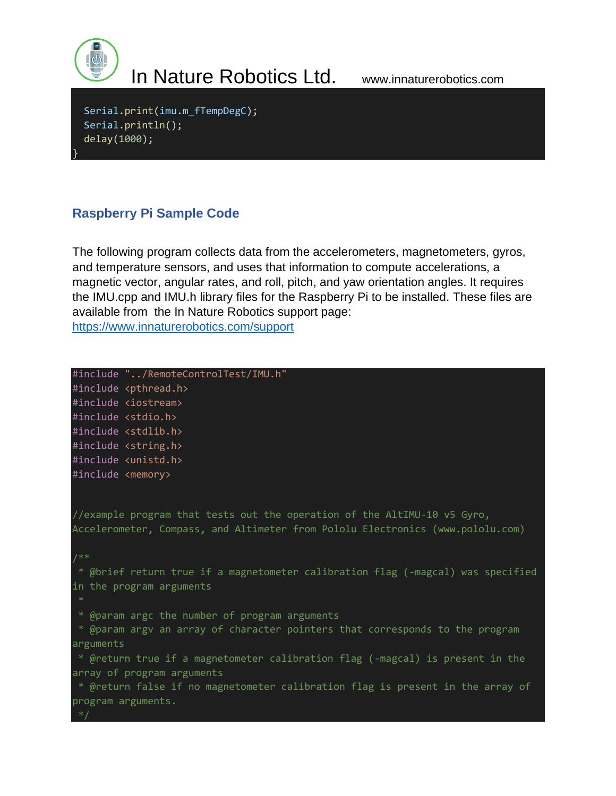

}

# In Nature Robotics Ltd. www.innaturerobotics.com

Serial.print(imu.m fTempDegC); Serial.println(); delay(1000);

### **Raspberry Pi Sample Code**

The following program collects data from the accelerometers, magnetometers, gyros, and temperature sensors, and uses that information to compute accelerations, a magnetic vector, angular rates, and roll, pitch, and yaw orientation angles. It requires the IMU.cpp and IMU.h library files for the Raspberry Pi to be installed. These files are available from the In Nature Robotics support page: <https://www.innaturerobotics.com/support>

#include "../RemoteControlTest/IMU.h" #include <pthread.h> #include <iostream> #include <stdio.h> #include <stdlib.h> #include <string.h> #include <unistd.h> #include <memory> //example program that tests out the operation of the AltIMU-10 v5 Gyro, Accelerometer, Compass, and Altimeter from Pololu Electronics (www.pololu.com) /\*\* \* @brief return true if a magnetometer calibration flag (-magcal) was specified in the program arguments \* @param argc the number of program arguments \* @param argv an array of character pointers that corresponds to the program arguments \* @return true if a magnetometer calibration flag (-magcal) is present in the array of program arguments \* @return false if no magnetometer calibration flag is present in the array of program arguments.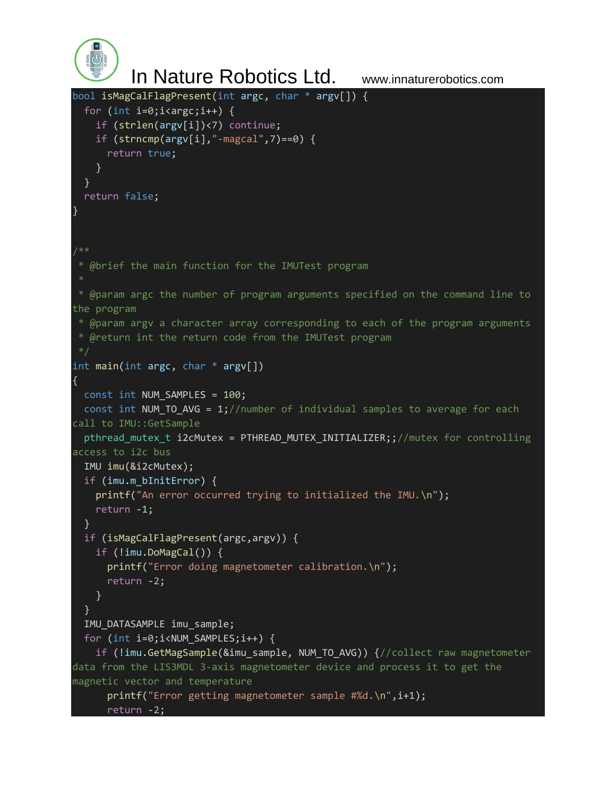```
 In Nature Robotics Ltd. www.innaturerobotics.com
bool isMagCalFlagPresent(int argc, char * argv[]) {
  for (int i=0; i<argc; i++) {
     if (strlen(argv[i])<7) continue;
    if (strncmp(argv[i], "-magcal", 7) == 0) {
       return true;
     }
   }
   return false;
}
/**
 * @brief the main function for the IMUTest program
 * @param argc the number of program arguments specified on the command line to 
the program
 * @param argv a character array corresponding to each of the program arguments
 * @return int the return code from the IMUTest program
int main(int argc, char * argv[])
{
   const int NUM_SAMPLES = 100;
  const int NUM TO AVG = 1;//number of individual samples to average for each
call to IMU::GetSample
 pthread mutex t i2cMutex = PTHREAD MUTEX INITIALIZER;;//mutex for controlling
access to i2c bus
  IMU imu(&i2cMutex);
 if (imu.m bInitError) {
   printf("An error occurred trying to initialized the IMU.\n");
    return -1;
   }
  if (isMagCalFlagPresent(argc,argv)) {
     if (!imu.DoMagCal()) {
       printf("Error doing magnetometer calibration.\n");
       return -2;
     }
   }
  IMU_DATASAMPLE imu_sample;
  for (int i=0;i<NUM_SAMPLES;i++) {
     if (!imu.GetMagSample(&imu_sample, NUM_TO_AVG)) {//collect raw magnetometer 
data from the LIS3MDL 3-axis magnetometer device and process it to get the 
magnetic vector and temperature
      printf("Error getting magnetometer sample #%d.\n",i+1);
       return -2;
```